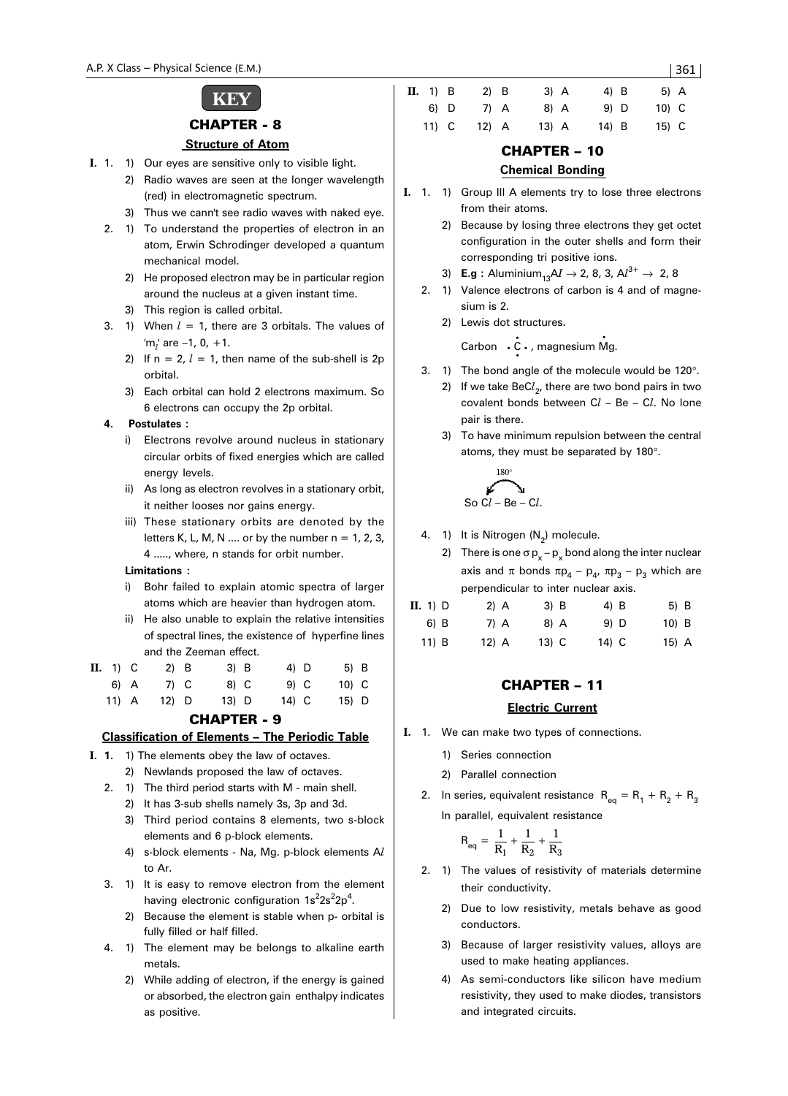# **KEY**

### CHAPTER - 8

#### **Structure of Atom**

- **I.** 1. 1) Our eyes are sensitive only to visible light.
	- 2) Radio waves are seen at the longer wavelength (red) in electromagnetic spectrum.
	- 3) Thus we cann't see radio waves with naked eye.
	- 2. 1) To understand the properties of electron in an atom, Erwin Schrodinger developed a quantum mechanical model.
		- 2) He proposed electron may be in particular region around the nucleus at a given instant time.
		- 3) This region is called orbital.
	- 3. 1) When  $l = 1$ , there are 3 orbitals. The values of 'm*l* ' are –1, 0, +1.
		- 2) If  $n = 2$ ,  $l = 1$ , then name of the sub-shell is 2p orbital.
		- 3) Each orbital can hold 2 electrons maximum. So 6 electrons can occupy the 2p orbital.

### **4. Postulates :**

- i) Electrons revolve around nucleus in stationary circular orbits of fixed energies which are called energy levels.
- ii) As long as electron revolves in a stationary orbit, it neither looses nor gains energy.
- iii) These stationary orbits are denoted by the letters K, L, M, N .... or by the number  $n = 1, 2, 3$ , 4 ....., where, n stands for orbit number.

### **Limitations :**

- i) Bohr failed to explain atomic spectra of larger atoms which are heavier than hydrogen atom.
- ii) He also unable to explain the relative intensities of spectral lines, the existence of hyperfine lines and the Zeeman effect.

| $\mathbf{II.}$ 1) $\mathbf{C}$ | $2)$ B  |  | $3)$ B  | 4) D  | $5)$ B  |  |
|--------------------------------|---------|--|---------|-------|---------|--|
| 6) A                           | 7) C    |  | 8) C    | 9) C  | $10)$ C |  |
| $11)$ A                        | $12)$ D |  | $13)$ D | 14) C | $15)$ D |  |

CHAPTER - 9

#### **Classification of Elements – The Periodic Table**

- **I. 1.** 1) The elements obey the law of octaves.
	- 2) Newlands proposed the law of octaves.
	- 2. 1) The third period starts with M main shell.
		- 2) It has 3-sub shells namely 3s, 3p and 3d.
		- 3) Third period contains 8 elements, two s-block elements and 6 p-block elements.
		- 4) s-block elements Na, Mg. p-block elements A*l* to Ar.
	- 3. 1) It is easy to remove electron from the element having electronic configuration 1s<sup>2</sup>2s<sup>2</sup>2p<sup>4</sup>.
		- 2) Because the element is stable when p- orbital is fully filled or half filled.
	- 4. 1) The element may be belongs to alkaline earth metals.
		- 2) While adding of electron, if the energy is gained or absorbed, the electron gain enthalpy indicates as positive.

| II. 1) B | $2)$ B  | $3)$ A  | $4)$ B | $5)$ A |  |
|----------|---------|---------|--------|--------|--|
| 6) D     | 7) A    | 8) A    | $9)$ D | 10) C  |  |
| $11)$ C  | $12)$ A | $13)$ A | 14) B  | 15) C  |  |

### CHAPTER – 10

### **Chemical Bonding**

- **I.** 1. 1) Group III A elements try to lose three electrons from their atoms.
	- 2) Because by losing three electrons they get octet configuration in the outer shells and form their corresponding tri positive ions.
	- 3) **E.g** : Aluminium<sub>13</sub>AI  $\rightarrow$  2, 8, 3, Al<sup>3+</sup>  $\rightarrow$  2, 8
	- 2. 1) Valence electrons of carbon is 4 and of magnesium is 2.
		- 2) Lewis dot structures.

Carbon • C • , magnesium Mg. • •

- 3. 1) The bond angle of the molecule would be 120°.
	- 2) If we take BeC*l* 2, there are two bond pairs in two covalent bonds between C*l* – Be – C*l*. No lone pair is there.
	- 3) To have minimum repulsion between the central atoms, they must be separated by 180°.



- 4. 1) It is Nitrogen  $(N_2)$  molecule.
	- 2) There is one  $\sigma p_x p_x$  bond along the inter nuclear axis and π bonds  $πp_4 - p_4$ ,  $πp_3 - p_3$  which are perpendicular to inter nuclear axis.

| $\mathbf{II.}$ 1) $\mathbf{D}$ | $2)$ A  | $3)$ B  | 4) B  | 5) B    |
|--------------------------------|---------|---------|-------|---------|
| 6) B                           | 7) A    | 8) A    | 9) D  | $10)$ B |
| $11)$ B                        | $12)$ A | $13)$ C | 14) C | $15)$ A |

# CHAPTER – 11

### **Electric Current**

- **I.** 1. We can make two types of connections.
	- 1) Series connection
	- 2) Parallel connection
	- 2. In series, equivalent resistance  $R_{eq} = R_1 + R_2 + R_3$ In parallel, equivalent resistance

$$
R_{eq} = \frac{1}{R_1} + \frac{1}{R_2} + \frac{1}{R_3}
$$

- 2. 1) The values of resistivity of materials determine their conductivity.
	- 2) Due to low resistivity, metals behave as good conductors.
	- 3) Because of larger resistivity values, alloys are used to make heating appliances.
	- 4) As semi-conductors like silicon have medium resistivity, they used to make diodes, transistors and integrated circuits.